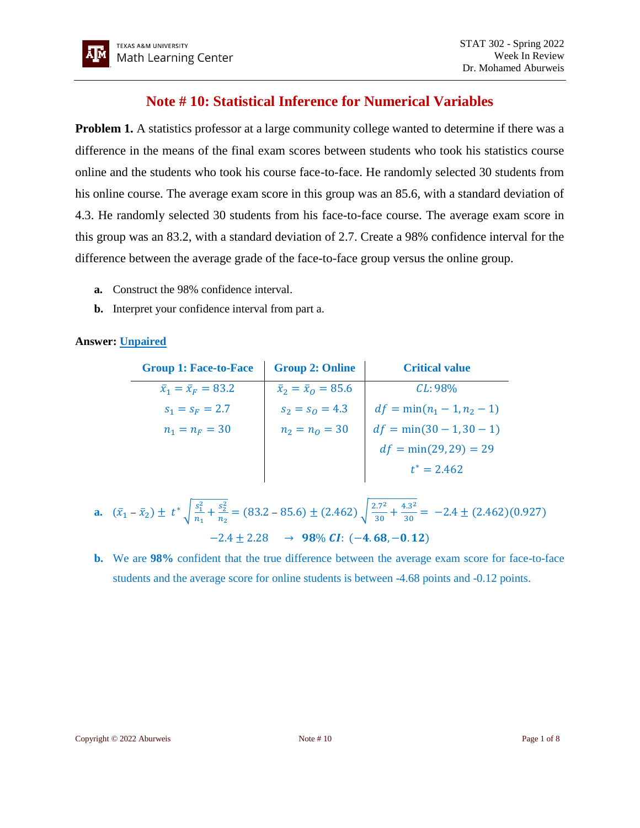# **Note # 10: Statistical Inference for Numerical Variables**

**Problem 1.** A statistics professor at a large community college wanted to determine if there was a difference in the means of the final exam scores between students who took his statistics course online and the students who took his course face-to-face. He randomly selected 30 students from his online course. The average exam score in this group was an 85.6, with a standard deviation of 4.3. He randomly selected 30 students from his face-to-face course. The average exam score in this group was an 83.2, with a standard deviation of 2.7. Create a 98% confidence interval for the difference between the average grade of the face-to-face group versus the online group.

- **a.** Construct the 98% confidence interval.
- **b.** Interpret your confidence interval from part a.

## **Answer: Unpaired**

| <b>Group 1: Face-to-Face</b>   | <b>Group 2: Online</b>         | <b>Critical value</b>        |
|--------------------------------|--------------------------------|------------------------------|
| $\bar{x}_1 = \bar{x}_F = 83.2$ | $\bar{x}_2 = \bar{x}_0 = 85.6$ | $CL:98\%$                    |
| $s_1 = s_F = 2.7$              | $s_2 = s_0 = 4.3$              | $df = min(n_1 - 1, n_2 - 1)$ |
| $n_1 = n_F = 30$               | $n_2 = n_0 = 30$               | $df = min(30 - 1, 30 - 1)$   |
|                                |                                | $df = min(29, 29) = 29$      |
|                                |                                | $t^* = 2.462$                |

**a.** 
$$
(\bar{x}_1 - \bar{x}_2) \pm t^* \sqrt{\frac{s_1^2}{n_1} + \frac{s_2^2}{n_2}} = (83.2 - 85.6) \pm (2.462) \sqrt{\frac{2.7^2}{30} + \frac{4.3^2}{30}} = -2.4 \pm (2.462)(0.927)
$$
  
-2.4 ± 2.28  $\rightarrow$  98% CI: (-4.68, -0.12)

**b.** We are **98%** confident that the true difference between the average exam score for face-to-face students and the average score for online students is between -4.68 points and -0.12 points.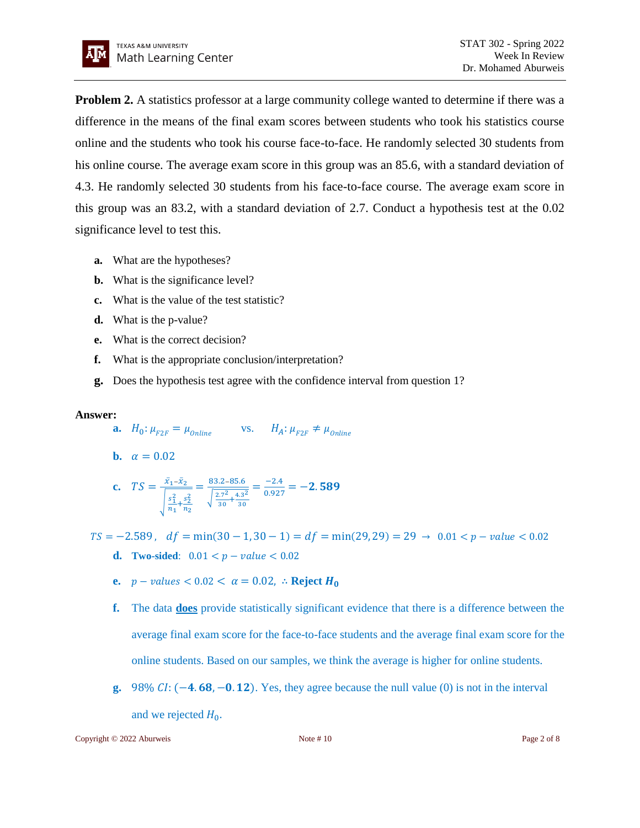**Problem 2.** A statistics professor at a large community college wanted to determine if there was a difference in the means of the final exam scores between students who took his statistics course online and the students who took his course face-to-face. He randomly selected 30 students from his online course. The average exam score in this group was an 85.6, with a standard deviation of 4.3. He randomly selected 30 students from his face-to-face course. The average exam score in this group was an 83.2, with a standard deviation of 2.7. Conduct a hypothesis test at the 0.02 significance level to test this.

- **a.** What are the hypotheses?
- **b.** What is the significance level?
- **c.** What is the value of the test statistic?
- **d.** What is the p-value?
- **e.** What is the correct decision?
- **f.** What is the appropriate conclusion/interpretation?
- **g.** Does the hypothesis test agree with the confidence interval from question 1?

### **Answer:**

- **a.**  $H_0: \mu_{F2F} = \mu_{online}$  vs.  $H_A: \mu_{F2F} \neq \mu_{Online}$
- **b.**  $\alpha = 0.02$

**c.** 
$$
TS = \frac{\bar{x}_1 - \bar{x}_2}{\sqrt{\frac{s_1^2}{n_1} + \frac{s_2^2}{n_2}}} = \frac{83.2 - 85.6}{\sqrt{\frac{2.7^2}{30} + \frac{4.3^2}{30}}} = \frac{-2.4}{0.927} = -2.589
$$

- $TS = -2.589$ ,  $df = min(30 1, 30 1) = df = min(29, 29) = 29 \rightarrow 0.01 < p value < 0.02$ **d. Two-sided**:  $0.01 < p - value < 0.02$ 
	- **e.**  $p values < 0.02 < \alpha = 0.02$ , ∴ **Reject**  $H_0$
	- **f.** The data **does** provide statistically significant evidence that there is a difference between the average final exam score for the face-to-face students and the average final exam score for the online students. Based on our samples, we think the average is higher for online students.
	- **g.** 98%  $CI: (-4.68, -0.12)$ . Yes, they agree because the null value (0) is not in the interval and we rejected  $H_0$ .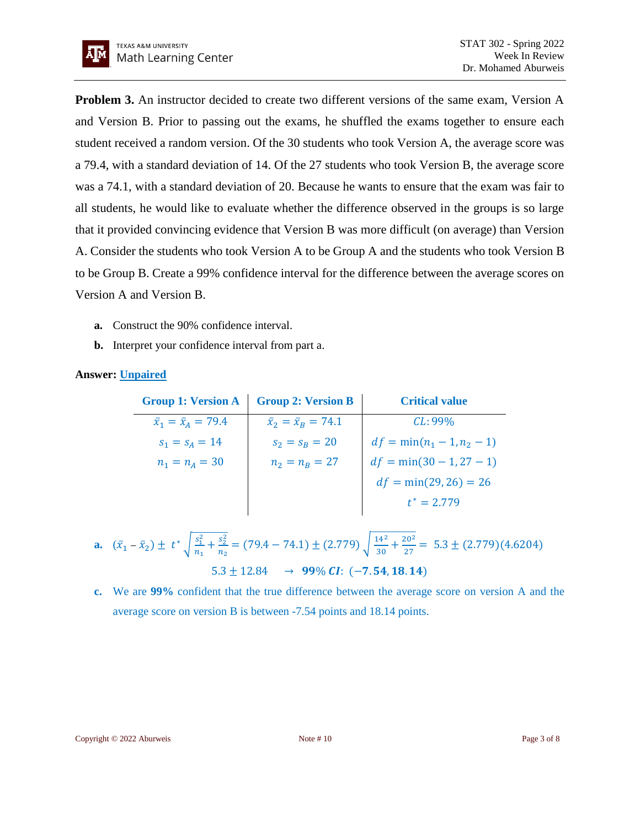**Problem 3.** An instructor decided to create two different versions of the same exam, Version A and Version B. Prior to passing out the exams, he shuffled the exams together to ensure each student received a random version. Of the 30 students who took Version A, the average score was a 79.4, with a standard deviation of 14. Of the 27 students who took Version B, the average score was a 74.1, with a standard deviation of 20. Because he wants to ensure that the exam was fair to all students, he would like to evaluate whether the difference observed in the groups is so large that it provided convincing evidence that Version B was more difficult (on average) than Version A. Consider the students who took Version A to be Group A and the students who took Version B to be Group B. Create a 99% confidence interval for the difference between the average scores on Version A and Version B.

- **a.** Construct the 90% confidence interval.
- **b.** Interpret your confidence interval from part a.

# **Answer: Unpaired**

| <b>Group 1: Version A</b>      | <b>Group 2: Version B</b>      | <b>Critical value</b>        |
|--------------------------------|--------------------------------|------------------------------|
| $\bar{x}_1 = \bar{x}_4 = 79.4$ | $\bar{x}_2 = \bar{x}_B = 74.1$ | $CL:99\%$                    |
| $s_1 = s_4 = 14$               | $s_2 = s_B = 20$               | $df = min(n_1 - 1, n_2 - 1)$ |
| $n_1 = n_A = 30$               | $n_2 = n_R = 27$               | $df = min(30 - 1, 27 - 1)$   |
|                                |                                | $df = min(29, 26) = 26$      |
|                                |                                | $t^* = 2.779$                |

**a.** 
$$
(\bar{x}_1 - \bar{x}_2) \pm t^* \sqrt{\frac{s_1^2}{n_1} + \frac{s_2^2}{n_2}} = (79.4 - 74.1) \pm (2.779) \sqrt{\frac{14^2}{30} + \frac{20^2}{27}} = 5.3 \pm (2.779)(4.6204)
$$
  
5.3 ± 12.84  $\rightarrow$  99% CI: (-7.54, 18.14)

**c.** We are **99%** confident that the true difference between the average score on version A and the average score on version B is between -7.54 points and 18.14 points.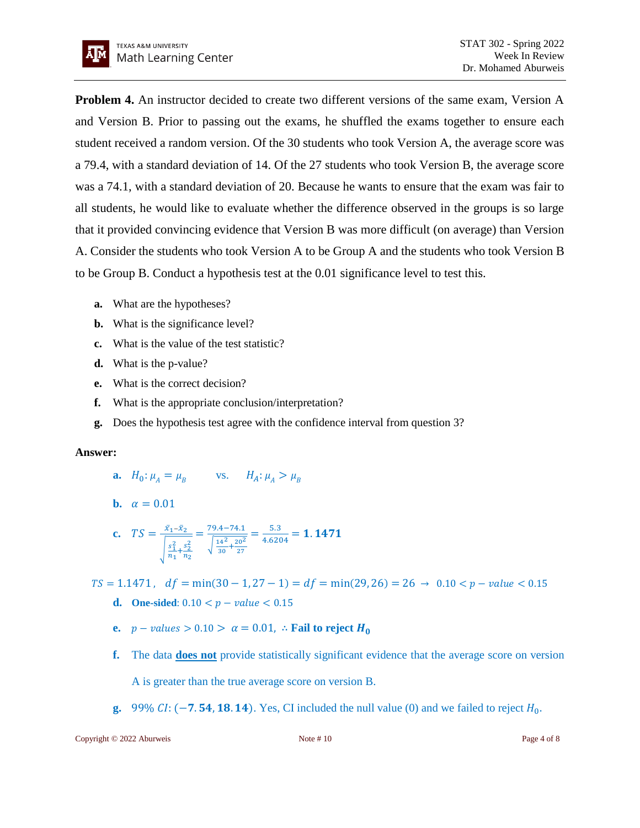**Problem 4.** An instructor decided to create two different versions of the same exam, Version A and Version B. Prior to passing out the exams, he shuffled the exams together to ensure each student received a random version. Of the 30 students who took Version A, the average score was a 79.4, with a standard deviation of 14. Of the 27 students who took Version B, the average score was a 74.1, with a standard deviation of 20. Because he wants to ensure that the exam was fair to all students, he would like to evaluate whether the difference observed in the groups is so large that it provided convincing evidence that Version B was more difficult (on average) than Version A. Consider the students who took Version A to be Group A and the students who took Version B to be Group B. Conduct a hypothesis test at the 0.01 significance level to test this.

- **a.** What are the hypotheses?
- **b.** What is the significance level?
- **c.** What is the value of the test statistic?
- **d.** What is the p-value?
- **e.** What is the correct decision?
- **f.** What is the appropriate conclusion/interpretation?
- **g.** Does the hypothesis test agree with the confidence interval from question 3?

#### **Answer:**

- **a.**  $H_0: \mu_A = \mu_B$  vs.  $H_A: \mu_A > \mu_B$
- **b.**  $\alpha = 0.01$

**c.** 
$$
TS = \frac{\bar{x}_1 - \bar{x}_2}{\sqrt{\frac{s_1^2}{n_1} + \frac{s_2^2}{n_2}}} = \frac{79.4 - 74.1}{\sqrt{\frac{14^2}{30} + \frac{20^2}{27}}} = \frac{5.3}{4.6204} = 1.1471
$$

 $TS = 1.1471$ ,  $df = min(30 - 1.27 - 1) = df = min(29.26) = 26 \rightarrow 0.10 < p - value < 0.15$ **d.** One-sided:  $0.10 < p - value < 0.15$ 

- **e.**  $p values > 0.10 > \alpha = 0.01$ , ∴ **Fail to reject H<sub>0</sub>**
- **f.** The data **does not** provide statistically significant evidence that the average score on version A is greater than the true average score on version B.
- **g.** 99%  $CI: (-7.54, 18.14)$ . Yes, CI included the null value (0) and we failed to reject  $H_0$ .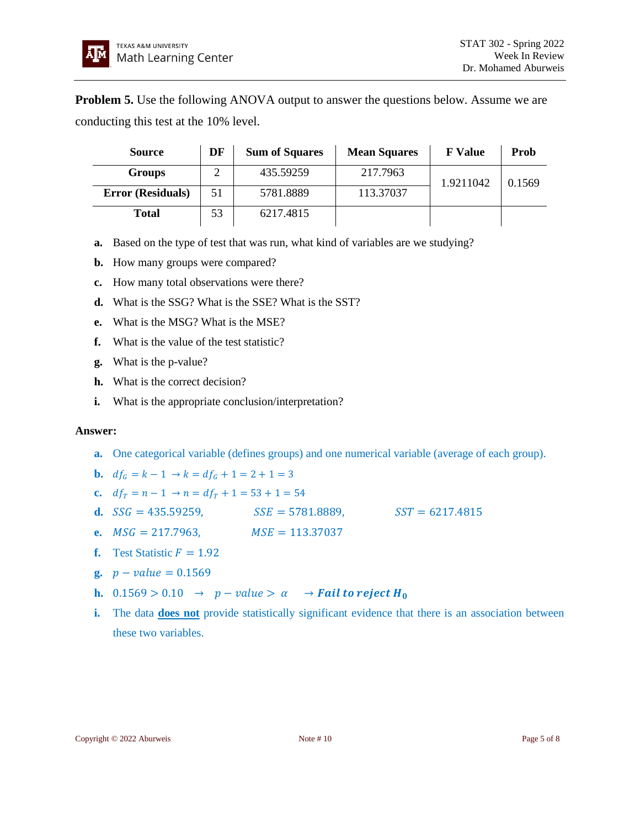**Problem 5.** Use the following ANOVA output to answer the questions below. Assume we are conducting this test at the 10% level.

| <b>Source</b>            | DF | <b>Sum of Squares</b> | <b>Mean Squares</b> | <b>F</b> Value | <b>Prob</b> |
|--------------------------|----|-----------------------|---------------------|----------------|-------------|
| <b>Groups</b>            |    | 435.59259             | 217.7963            | 1.9211042      | 0.1569      |
| <b>Error (Residuals)</b> | 51 | 5781.8889             | 113.37037           |                |             |
| <b>Total</b>             | 53 | 6217.4815             |                     |                |             |

- **a.** Based on the type of test that was run, what kind of variables are we studying?
- **b.** How many groups were compared?
- **c.** How many total observations were there?
- **d.** What is the SSG? What is the SSE? What is the SST?
- **e.** What is the MSG? What is the MSE?
- **f.** What is the value of the test statistic?
- **g.** What is the p-value?
- **h.** What is the correct decision?
- **i.** What is the appropriate conclusion/interpretation?

# **Answer:**

- **a.** One categorical variable (defines groups) and one numerical variable (average of each group).
- **b.**  $df_c = k 1 \rightarrow k = df_c + 1 = 2 + 1 = 3$
- **c.**  $df_T = n 1 \rightarrow n = df_T + 1 = 53 + 1 = 54$
- **d.**  $SSG = 435.59259$ ,  $SSE = 5781.8889$ ,  $SST = 6217.4815$
- **e.**  $MSG = 217.7963$ ,  $MSE = 113.37037$
- **f.** Test Statistic  $F = 1.92$
- **g.**  $p value = 0.1569$
- **h.**  $0.1569 > 0.10 \rightarrow p-value > \alpha \rightarrow \text{Fall to reject } H_0$
- **i.** The data **does not** provide statistically significant evidence that there is an association between these two variables.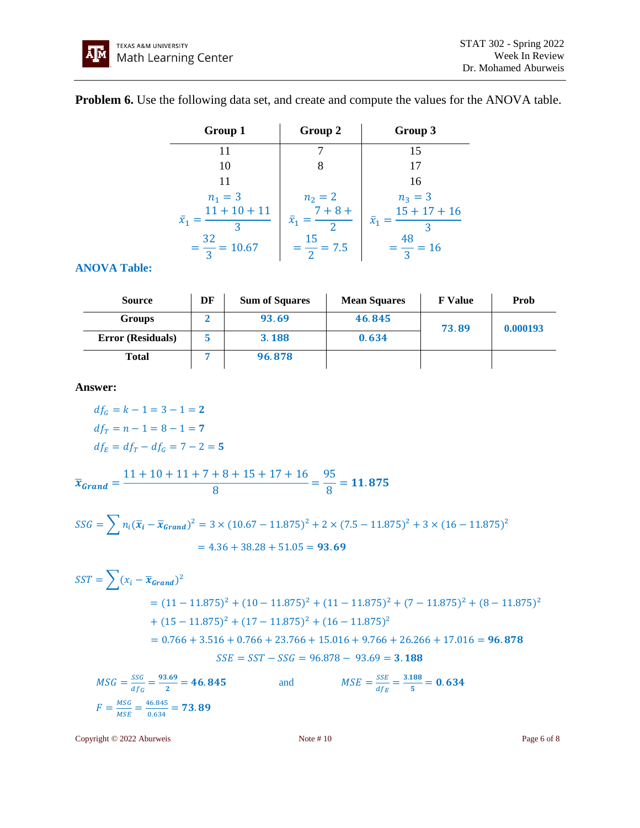**Problem 6.** Use the following data set, and create and compute the values for the ANOVA table.

| Group 1                       | Group 2                    | Group 3                       |
|-------------------------------|----------------------------|-------------------------------|
|                               |                            | 15                            |
| 10                            |                            | 17                            |
| 11                            |                            | 16                            |
| $n_1 = 3$                     | $n_2 = 2$                  | $n_3 = 3$                     |
| $11 + 10 + 11$<br>$\bar{x}_1$ | $7 + 8 +$<br>$\bar{x}_1 =$ | $15 + 17 + 16$<br>$\bar{x}_1$ |
| $=\frac{32}{3}=10.67$         | 15<br>$=\frac{1}{2}=7.5$   | $=\frac{48}{3}=16$            |

# **ANOVA Table:**

| <b>Source</b>            | DF | <b>Sum of Squares</b> | <b>Mean Squares</b> | <b>F</b> Value | Prob     |
|--------------------------|----|-----------------------|---------------------|----------------|----------|
| Groups                   |    | 93.69                 | 46.845              | 73.89          | 0.000193 |
| <b>Error (Residuals)</b> |    | 3.188                 | 0.634               |                |          |
| Total                    |    | 96.878                |                     |                |          |

**Answer:** 

$$
df_G = k - 1 = 3 - 1 = 2
$$
  

$$
df_T = n - 1 = 8 - 1 = 7
$$
  

$$
df_E = df_T - df_G = 7 - 2 = 5
$$

 $\bar{x}_{Grand} =$  $11 + 10 + 11 + 7 + 8 + 15 + 17 + 16$  $\frac{1}{8}$  = 95  $\frac{2}{8}$  = 11.875

$$
SSG = \sum n_i (\overline{x}_i - \overline{x}_{Grand})^2 = 3 \times (10.67 - 11.875)^2 + 2 \times (7.5 - 11.875)^2 + 3 \times (16 - 11.875)^2
$$
  
= 4.36 + 38.28 + 51.05 = **93.69**

$$
SST = \sum (x_i - \overline{x}_{Grand})^2
$$
  
= (11 - 11.875)<sup>2</sup> + (10 - 11.875)<sup>2</sup> + (11 - 11.875)<sup>2</sup> + (7 - 11.875)<sup>2</sup> + (8 - 11.875)<sup>2</sup>  
+ (15 - 11.875)<sup>2</sup> + (17 - 11.875)<sup>2</sup> + (16 - 11.875)<sup>2</sup>  
= 0.766 + 3.516 + 0.766 + 23.766 + 15.016 + 9.766 + 26.266 + 17.016 = **96.878**  
*SSE* = SST - SSG = 96.878 - 93.69 = **3.188**

$$
MSG = \frac{SSG}{df_G} = \frac{93.69}{2} = 46.845
$$
 and 
$$
MSE = \frac{SSE}{df_E} = \frac{3.188}{5} = 0.634
$$

$$
F = \frac{MSG}{MSE} = \frac{46.845}{0.634} = 73.89
$$

Copyright © 2022 Aburweis Note # 10 Page 6 of 8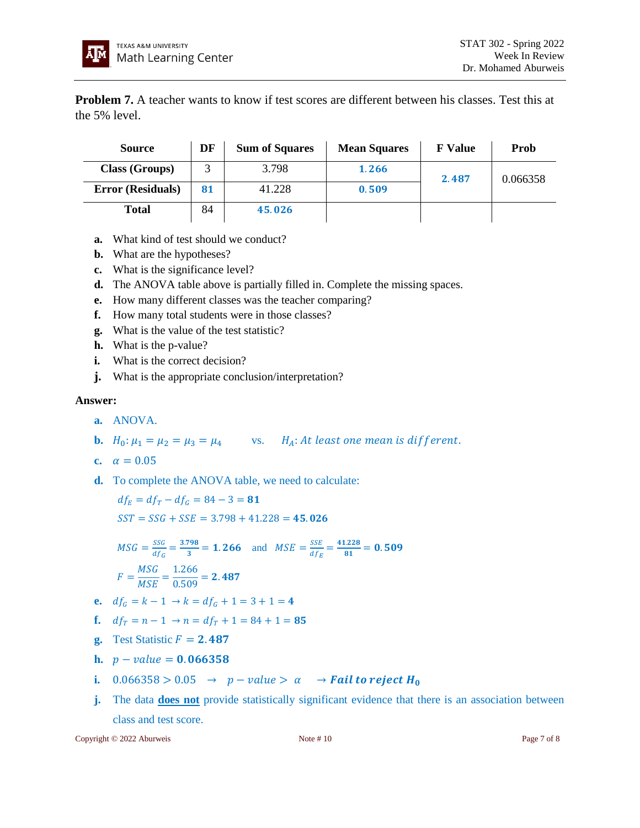**Problem 7.** A teacher wants to know if test scores are different between his classes. Test this at the 5% level.

| <b>Source</b>            | DF | <b>Sum of Squares</b> | <b>Mean Squares</b> | <b>F</b> Value | Prob     |
|--------------------------|----|-----------------------|---------------------|----------------|----------|
| <b>Class (Groups)</b>    |    | 3.798                 | 1.266               | 2.487          | 0.066358 |
| <b>Error</b> (Residuals) | 81 | 41.228                | 0.509               |                |          |
| <b>Total</b>             | 84 | 45.026                |                     |                |          |

- **a.** What kind of test should we conduct?
- **b.** What are the hypotheses?
- **c.** What is the significance level?
- **d.** The ANOVA table above is partially filled in. Complete the missing spaces.
- **e.** How many different classes was the teacher comparing?
- **f.** How many total students were in those classes?
- **g.** What is the value of the test statistic?
- **h.** What is the p-value?
- **i.** What is the correct decision?
- **j.** What is the appropriate conclusion/interpretation?

## **Answer:**

- **a.** ANOVA.
- **b.**  $H_0: \mu_1 = \mu_2 = \mu_3 = \mu_4$  vs.  $H_A: At least one mean is different.$

$$
c. \quad \alpha = 0.05
$$

**d.** To complete the ANOVA table, we need to calculate:

 $df_E = df_T - df_G = 84 - 3 = 81$  $SST = SSG + SSE = 3.798 + 41.228 = 45.026$ 

$$
MSG = \frac{SSG}{df_G} = \frac{3.798}{3} = 1.266 \text{ and } MSE = \frac{SSE}{df_E} = \frac{41.228}{81} = 0.509
$$

$$
F = \frac{MSG}{MSE} = \frac{1.266}{0.509} = 2.487
$$

- **e.**  $df_G = k 1 \rightarrow k = df_G + 1 = 3 + 1 = 4$
- **f.**  $df_T = n 1 \rightarrow n = df_T + 1 = 84 + 1 = 85$
- **g.** Test Statistic  $F = 2.487$
- **h.**  $p value = 0.066358$
- **i.**  $0.066358 > 0.05 \rightarrow p value > \alpha \rightarrow \text{Fall to reject } H_0$
- **j.** The data **does not** provide statistically significant evidence that there is an association between class and test score.

Copyright © 2022 Aburweis Note # 10 Page 7 of 8